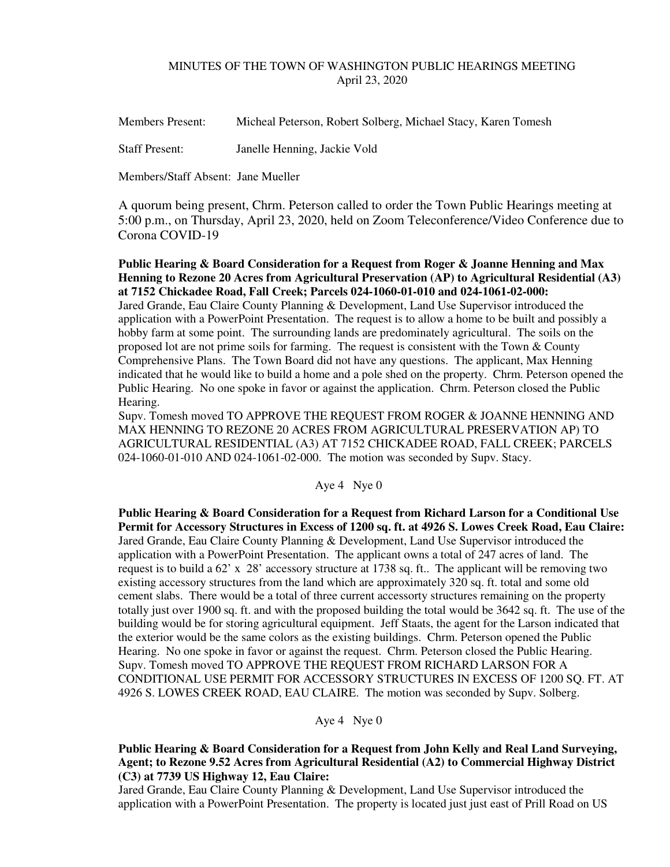# MINUTES OF THE TOWN OF WASHINGTON PUBLIC HEARINGS MEETING April 23, 2020

Members Present: Micheal Peterson, Robert Solberg, Michael Stacy, Karen Tomesh

Staff Present: Janelle Henning, Jackie Vold

Members/Staff Absent: Jane Mueller

A quorum being present, Chrm. Peterson called to order the Town Public Hearings meeting at 5:00 p.m., on Thursday, April 23, 2020, held on Zoom Teleconference/Video Conference due to Corona COVID-19

**Public Hearing & Board Consideration for a Request from Roger & Joanne Henning and Max Henning to Rezone 20 Acres from Agricultural Preservation (AP) to Agricultural Residential (A3) at 7152 Chickadee Road, Fall Creek; Parcels 024-1060-01-010 and 024-1061-02-000:** 

Jared Grande, Eau Claire County Planning & Development, Land Use Supervisor introduced the application with a PowerPoint Presentation. The request is to allow a home to be built and possibly a hobby farm at some point. The surrounding lands are predominately agricultural. The soils on the proposed lot are not prime soils for farming. The request is consistent with the Town & County Comprehensive Plans. The Town Board did not have any questions. The applicant, Max Henning indicated that he would like to build a home and a pole shed on the property. Chrm. Peterson opened the Public Hearing. No one spoke in favor or against the application. Chrm. Peterson closed the Public Hearing.

Supv. Tomesh moved TO APPROVE THE REQUEST FROM ROGER & JOANNE HENNING AND MAX HENNING TO REZONE 20 ACRES FROM AGRICULTURAL PRESERVATION AP) TO AGRICULTURAL RESIDENTIAL (A3) AT 7152 CHICKADEE ROAD, FALL CREEK; PARCELS 024-1060-01-010 AND 024-1061-02-000. The motion was seconded by Supv. Stacy.

Aye 4 Nye 0

**Public Hearing & Board Consideration for a Request from Richard Larson for a Conditional Use Permit for Accessory Structures in Excess of 1200 sq. ft. at 4926 S. Lowes Creek Road, Eau Claire:**  Jared Grande, Eau Claire County Planning & Development, Land Use Supervisor introduced the application with a PowerPoint Presentation. The applicant owns a total of 247 acres of land. The request is to build a  $62' \times 28'$  accessory structure at 1738 sq. ft.. The applicant will be removing two existing accessory structures from the land which are approximately 320 sq. ft. total and some old cement slabs. There would be a total of three current accessorty structures remaining on the property totally just over 1900 sq. ft. and with the proposed building the total would be 3642 sq. ft. The use of the building would be for storing agricultural equipment. Jeff Staats, the agent for the Larson indicated that the exterior would be the same colors as the existing buildings. Chrm. Peterson opened the Public Hearing. No one spoke in favor or against the request. Chrm. Peterson closed the Public Hearing. Supv. Tomesh moved TO APPROVE THE REQUEST FROM RICHARD LARSON FOR A CONDITIONAL USE PERMIT FOR ACCESSORY STRUCTURES IN EXCESS OF 1200 SQ. FT. AT 4926 S. LOWES CREEK ROAD, EAU CLAIRE. The motion was seconded by Supv. Solberg.

Aye 4 Nye 0

**Public Hearing & Board Consideration for a Request from John Kelly and Real Land Surveying, Agent; to Rezone 9.52 Acres from Agricultural Residential (A2) to Commercial Highway District (C3) at 7739 US Highway 12, Eau Claire:** 

Jared Grande, Eau Claire County Planning & Development, Land Use Supervisor introduced the application with a PowerPoint Presentation. The property is located just just east of Prill Road on US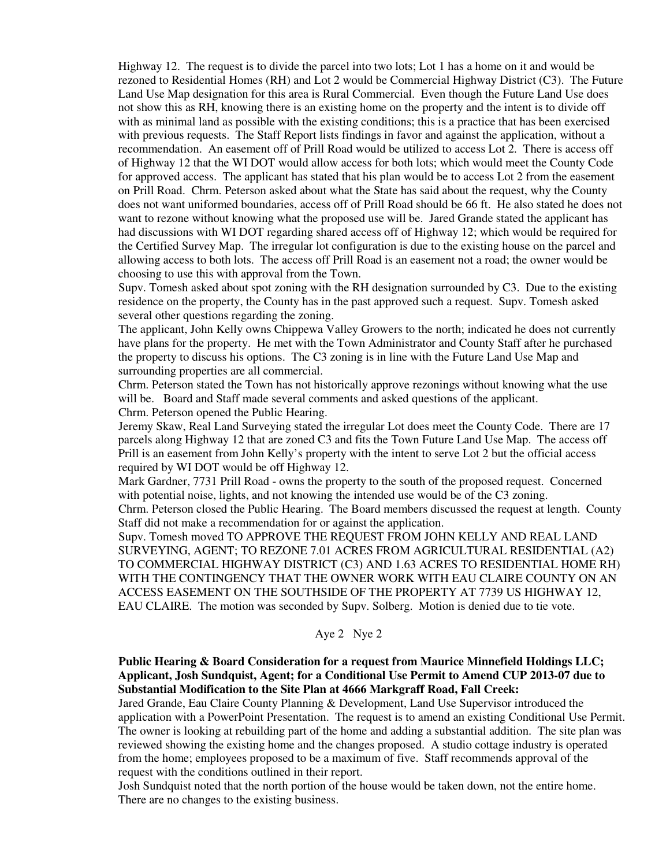Highway 12. The request is to divide the parcel into two lots; Lot 1 has a home on it and would be rezoned to Residential Homes (RH) and Lot 2 would be Commercial Highway District (C3). The Future Land Use Map designation for this area is Rural Commercial. Even though the Future Land Use does not show this as RH, knowing there is an existing home on the property and the intent is to divide off with as minimal land as possible with the existing conditions; this is a practice that has been exercised with previous requests. The Staff Report lists findings in favor and against the application, without a recommendation. An easement off of Prill Road would be utilized to access Lot 2. There is access off of Highway 12 that the WI DOT would allow access for both lots; which would meet the County Code for approved access. The applicant has stated that his plan would be to access Lot 2 from the easement on Prill Road. Chrm. Peterson asked about what the State has said about the request, why the County does not want uniformed boundaries, access off of Prill Road should be 66 ft. He also stated he does not want to rezone without knowing what the proposed use will be. Jared Grande stated the applicant has had discussions with WI DOT regarding shared access off of Highway 12; which would be required for the Certified Survey Map. The irregular lot configuration is due to the existing house on the parcel and allowing access to both lots. The access off Prill Road is an easement not a road; the owner would be choosing to use this with approval from the Town.

Supv. Tomesh asked about spot zoning with the RH designation surrounded by C3. Due to the existing residence on the property, the County has in the past approved such a request. Supv. Tomesh asked several other questions regarding the zoning.

The applicant, John Kelly owns Chippewa Valley Growers to the north; indicated he does not currently have plans for the property. He met with the Town Administrator and County Staff after he purchased the property to discuss his options. The C3 zoning is in line with the Future Land Use Map and surrounding properties are all commercial.

Chrm. Peterson stated the Town has not historically approve rezonings without knowing what the use will be. Board and Staff made several comments and asked questions of the applicant.

Chrm. Peterson opened the Public Hearing.

Jeremy Skaw, Real Land Surveying stated the irregular Lot does meet the County Code. There are 17 parcels along Highway 12 that are zoned C3 and fits the Town Future Land Use Map. The access off Prill is an easement from John Kelly's property with the intent to serve Lot 2 but the official access required by WI DOT would be off Highway 12.

Mark Gardner, 7731 Prill Road - owns the property to the south of the proposed request. Concerned with potential noise, lights, and not knowing the intended use would be of the C3 zoning.

Chrm. Peterson closed the Public Hearing. The Board members discussed the request at length. County Staff did not make a recommendation for or against the application.

Supv. Tomesh moved TO APPROVE THE REQUEST FROM JOHN KELLY AND REAL LAND SURVEYING, AGENT; TO REZONE 7.01 ACRES FROM AGRICULTURAL RESIDENTIAL (A2) TO COMMERCIAL HIGHWAY DISTRICT (C3) AND 1.63 ACRES TO RESIDENTIAL HOME RH) WITH THE CONTINGENCY THAT THE OWNER WORK WITH EAU CLAIRE COUNTY ON AN ACCESS EASEMENT ON THE SOUTHSIDE OF THE PROPERTY AT 7739 US HIGHWAY 12, EAU CLAIRE. The motion was seconded by Supv. Solberg. Motion is denied due to tie vote.

# Aye 2 Nye 2

# **Public Hearing & Board Consideration for a request from Maurice Minnefield Holdings LLC; Applicant, Josh Sundquist, Agent; for a Conditional Use Permit to Amend CUP 2013-07 due to Substantial Modification to the Site Plan at 4666 Markgraff Road, Fall Creek:**

Jared Grande, Eau Claire County Planning & Development, Land Use Supervisor introduced the application with a PowerPoint Presentation. The request is to amend an existing Conditional Use Permit. The owner is looking at rebuilding part of the home and adding a substantial addition. The site plan was reviewed showing the existing home and the changes proposed. A studio cottage industry is operated from the home; employees proposed to be a maximum of five. Staff recommends approval of the request with the conditions outlined in their report.

Josh Sundquist noted that the north portion of the house would be taken down, not the entire home. There are no changes to the existing business.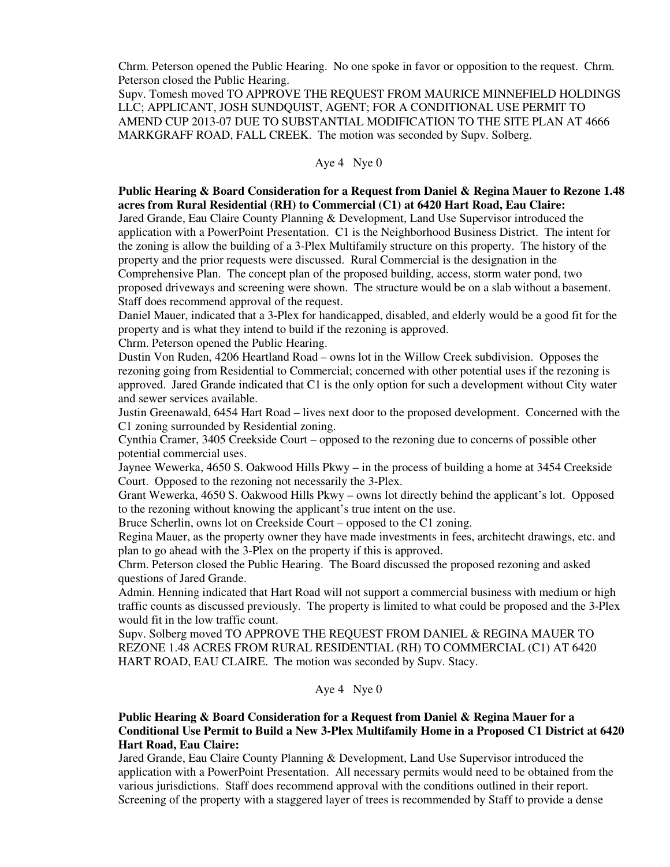Chrm. Peterson opened the Public Hearing. No one spoke in favor or opposition to the request. Chrm. Peterson closed the Public Hearing.

Supv. Tomesh moved TO APPROVE THE REQUEST FROM MAURICE MINNEFIELD HOLDINGS LLC; APPLICANT, JOSH SUNDQUIST, AGENT; FOR A CONDITIONAL USE PERMIT TO AMEND CUP 2013-07 DUE TO SUBSTANTIAL MODIFICATION TO THE SITE PLAN AT 4666 MARKGRAFF ROAD, FALL CREEK. The motion was seconded by Supv. Solberg.

# Aye 4 Nye 0

# **Public Hearing & Board Consideration for a Request from Daniel & Regina Mauer to Rezone 1.48 acres from Rural Residential (RH) to Commercial (C1) at 6420 Hart Road, Eau Claire:**

Jared Grande, Eau Claire County Planning & Development, Land Use Supervisor introduced the application with a PowerPoint Presentation. C1 is the Neighborhood Business District. The intent for the zoning is allow the building of a 3-Plex Multifamily structure on this property. The history of the property and the prior requests were discussed. Rural Commercial is the designation in the Comprehensive Plan. The concept plan of the proposed building, access, storm water pond, two proposed driveways and screening were shown. The structure would be on a slab without a basement. Staff does recommend approval of the request.

Daniel Mauer, indicated that a 3-Plex for handicapped, disabled, and elderly would be a good fit for the property and is what they intend to build if the rezoning is approved.

Chrm. Peterson opened the Public Hearing.

Dustin Von Ruden, 4206 Heartland Road – owns lot in the Willow Creek subdivision. Opposes the rezoning going from Residential to Commercial; concerned with other potential uses if the rezoning is approved. Jared Grande indicated that C1 is the only option for such a development without City water and sewer services available.

Justin Greenawald, 6454 Hart Road – lives next door to the proposed development. Concerned with the C1 zoning surrounded by Residential zoning.

Cynthia Cramer, 3405 Creekside Court – opposed to the rezoning due to concerns of possible other potential commercial uses.

Jaynee Wewerka, 4650 S. Oakwood Hills Pkwy – in the process of building a home at 3454 Creekside Court. Opposed to the rezoning not necessarily the 3-Plex.

Grant Wewerka, 4650 S. Oakwood Hills Pkwy – owns lot directly behind the applicant's lot. Opposed to the rezoning without knowing the applicant's true intent on the use.

Bruce Scherlin, owns lot on Creekside Court – opposed to the C1 zoning.

Regina Mauer, as the property owner they have made investments in fees, architecht drawings, etc. and plan to go ahead with the 3-Plex on the property if this is approved.

Chrm. Peterson closed the Public Hearing. The Board discussed the proposed rezoning and asked questions of Jared Grande.

Admin. Henning indicated that Hart Road will not support a commercial business with medium or high traffic counts as discussed previously. The property is limited to what could be proposed and the 3-Plex would fit in the low traffic count.

Supv. Solberg moved TO APPROVE THE REQUEST FROM DANIEL & REGINA MAUER TO REZONE 1.48 ACRES FROM RURAL RESIDENTIAL (RH) TO COMMERCIAL (C1) AT 6420 HART ROAD, EAU CLAIRE. The motion was seconded by Supv. Stacy.

Aye 4 Nye 0

#### **Public Hearing & Board Consideration for a Request from Daniel & Regina Mauer for a Conditional Use Permit to Build a New 3-Plex Multifamily Home in a Proposed C1 District at 6420 Hart Road, Eau Claire:**

Jared Grande, Eau Claire County Planning & Development, Land Use Supervisor introduced the application with a PowerPoint Presentation. All necessary permits would need to be obtained from the various jurisdictions. Staff does recommend approval with the conditions outlined in their report. Screening of the property with a staggered layer of trees is recommended by Staff to provide a dense